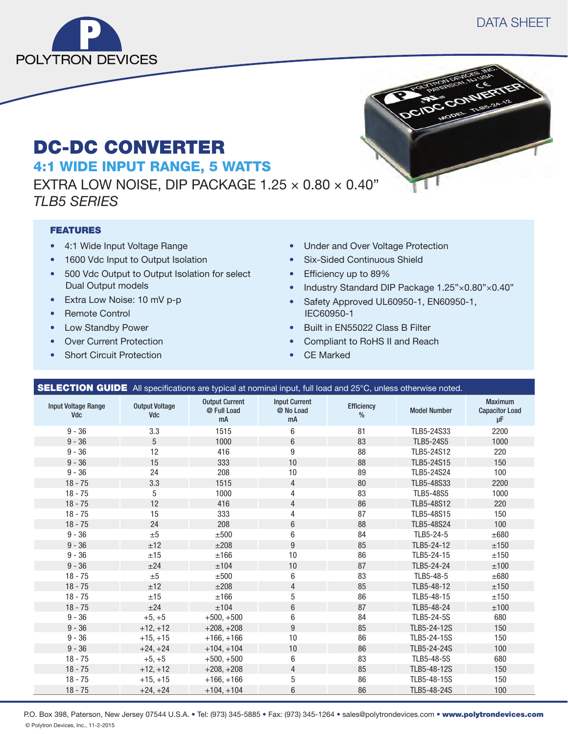



# DC-DC CONVERTER 4:1 WIDE INPUT RANGE, 5 WATTS

EXTRA LOW NOISE, DIP PACKAGE  $1.25 \times 0.80 \times 0.40$ " *TLB5 SERIES*

### FEATURES

- 4:1 Wide Input Voltage Range
- 1600 Vdc Input to Output Isolation
- 500 Vdc Output to Output Isolation for select Dual Output models
- Extra Low Noise: 10 mV p-p
- Remote Control
- Low Standby Power
- Over Current Protection
- Short Circuit Protection
- Under and Over Voltage Protection
- Six-Sided Continuous Shield
- Efficiency up to 89%
- Industry Standard DIP Package 1.25"×0.80"×0.40"
- Safety Approved UL60950-1, EN60950-1, IEC60950-1
- Built in EN55022 Class B Filter
- Compliant to RoHS II and Reach
- CE Marked

|                                          | <b>SELECTION GUIDE</b> All specifications are typical at nominal input, full load and 25°C, unless otherwise noted. |                                            |                                         |                    |                     |                                                    |
|------------------------------------------|---------------------------------------------------------------------------------------------------------------------|--------------------------------------------|-----------------------------------------|--------------------|---------------------|----------------------------------------------------|
| <b>Input Voltage Range</b><br><b>Vdc</b> | <b>Output Voltage</b><br>Vdc                                                                                        | <b>Output Current</b><br>@ Full Load<br>mA | <b>Input Current</b><br>@ No Load<br>mA | Efficiency<br>$\%$ | <b>Model Number</b> | <b>Maximum</b><br><b>Capacitor Load</b><br>$\mu$ F |
| $9 - 36$                                 | 3.3                                                                                                                 | 1515                                       | 6                                       | 81                 | TLB5-24S33          | 2200                                               |
| $9 - 36$                                 | 5                                                                                                                   | 1000                                       | 6                                       | 83                 | TLB5-24S5           | 1000                                               |
| $9 - 36$                                 | 12                                                                                                                  | 416                                        | 9                                       | 88                 | TLB5-24S12          | 220                                                |
| $9 - 36$                                 | 15                                                                                                                  | 333                                        | 10                                      | 88                 | TLB5-24S15          | 150                                                |
| $9 - 36$                                 | 24                                                                                                                  | 208                                        | 10                                      | 89                 | TLB5-24S24          | 100                                                |
| $18 - 75$                                | 3.3                                                                                                                 | 1515                                       | 4                                       | 80                 | TLB5-48S33          | 2200                                               |
| $18 - 75$                                | 5                                                                                                                   | 1000                                       | 4                                       | 83                 | <b>TLB5-48S5</b>    | 1000                                               |
| $18 - 75$                                | 12                                                                                                                  | 416                                        | $\overline{4}$                          | 86                 | TLB5-48S12          | 220                                                |
| $18 - 75$                                | 15                                                                                                                  | 333                                        | 4                                       | 87                 | TLB5-48S15          | 150                                                |
| $18 - 75$                                | 24                                                                                                                  | 208                                        | 6                                       | 88                 | TLB5-48S24          | 100                                                |
| $9 - 36$                                 | ±5                                                                                                                  | ±500                                       | 6                                       | 84                 | TLB5-24-5           | ±680                                               |
| $9 - 36$                                 | ±12                                                                                                                 | ±208                                       | 9                                       | 85                 | TLB5-24-12          | ±150                                               |
| $9 - 36$                                 | ±15                                                                                                                 | ±166                                       | 10                                      | 86                 | TLB5-24-15          | ±150                                               |
| $9 - 36$                                 | ±24                                                                                                                 | ±104                                       | 10                                      | 87                 | TLB5-24-24          | ±100                                               |
| $18 - 75$                                | ±5                                                                                                                  | ±500                                       | 6                                       | 83                 | TLB5-48-5           | $\pm 680$                                          |
| $18 - 75$                                | ±12                                                                                                                 | ±208                                       | 4                                       | 85                 | TLB5-48-12          | ±150                                               |
| $18 - 75$                                | ±15                                                                                                                 | ±166                                       | 5                                       | 86                 | TLB5-48-15          | ±150                                               |
| $18 - 75$                                | ±24                                                                                                                 | ±104                                       | $6\phantom{1}$                          | 87                 | TLB5-48-24          | ±100                                               |
| $9 - 36$                                 | $+5, +5$                                                                                                            | $+500, +500$                               | 6                                       | 84                 | TLB5-24-5S          | 680                                                |
| $9 - 36$                                 | $+12, +12$                                                                                                          | $+208, +208$                               | 9                                       | 85                 | TLB5-24-12S         | 150                                                |
| $9 - 36$                                 | $+15, +15$                                                                                                          | $+166, +166$                               | 10                                      | 86                 | TLB5-24-15S         | 150                                                |
| $9 - 36$                                 | $+24, +24$                                                                                                          | $+104. +104$                               | 10                                      | 86                 | TLB5-24-24S         | 100                                                |
| $18 - 75$                                | $+5, +5$                                                                                                            | $+500, +500$                               | 6                                       | 83                 | TLB5-48-5S          | 680                                                |
| $18 - 75$                                | $+12, +12$                                                                                                          | $+208, +208$                               | 4                                       | 85                 | TLB5-48-12S         | 150                                                |
| $18 - 75$                                | $+15, +15$                                                                                                          | $+166, +166$                               | 5                                       | 86                 | TLB5-48-15S         | 150                                                |
| $18 - 75$                                | $+24, +24$                                                                                                          | $+104, +104$                               | 6                                       | 86                 | TLB5-48-24S         | 100                                                |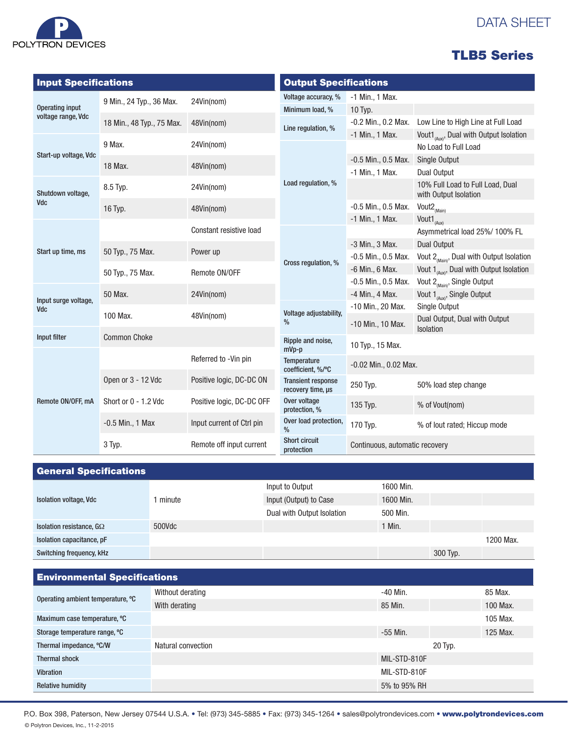

# DATA SHEET

## TLB5 Series

| <b>Input Specifications</b> |                           |                           | <b>Output Specifications</b>                   |                                |                                                              |  |
|-----------------------------|---------------------------|---------------------------|------------------------------------------------|--------------------------------|--------------------------------------------------------------|--|
|                             | 9 Min., 24 Typ., 36 Max.  | 24Vin(nom)                | Voltage accuracy, %                            | -1 Min., 1 Max.                |                                                              |  |
| <b>Operating input</b>      |                           |                           | Minimum load, %                                | 10 Typ.                        |                                                              |  |
| voltage range, Vdc          | 18 Min., 48 Typ., 75 Max. | 48Vin(nom)                | Line regulation, %                             | -0.2 Min., 0.2 Max.            | Low Line to High Line at Full Load                           |  |
|                             |                           |                           |                                                | -1 Min., 1 Max.                | Vout1 <sub>(Aux)</sub> , Dual with Output Isolation          |  |
|                             | 9 Max.                    | 24Vin(nom)                |                                                |                                | No Load to Full Load                                         |  |
| Start-up voltage, Vdc       | 18 Max.                   | 48Vin(nom)                |                                                | $-0.5$ Min., 0.5 Max.          | Single Output                                                |  |
|                             |                           |                           |                                                | -1 Min., 1 Max.                | Dual Output                                                  |  |
| Shutdown voltage,           | 8.5 Typ.                  | 24Vin(nom)                | Load regulation, %                             |                                | 10% Full Load to Full Load, Dual<br>with Output Isolation    |  |
| Vdc                         | 16 Typ.                   | 48Vin(nom)                |                                                | -0.5 Min., 0.5 Max.            | Vout2 <sub>(Main)</sub>                                      |  |
|                             |                           |                           |                                                | -1 Min., 1 Max.                | Vout1 $_{(Aux)}$                                             |  |
|                             |                           | Constant resistive load   |                                                |                                | Asymmetrical load 25%/ 100% FL                               |  |
| Start up time, ms           |                           |                           |                                                | -3 Min., 3 Max.                | Dual Output                                                  |  |
|                             | 50 Typ., 75 Max.          | Power up                  | Cross regulation, %                            | $-0.5$ Min., 0.5 Max.          | Vout $2_{\text{(\text{Main})}}$ , Dual with Output Isolation |  |
|                             | 50 Typ., 75 Max.          | Remote ON/OFF             |                                                | -6 Min., 6 Max.                | Vout $1_{(Aux)}$ , Dual with Output Isolation                |  |
|                             |                           |                           |                                                | -0.5 Min., 0.5 Max.            | Vout 2 <sub>(Main)</sub> , Single Output                     |  |
| Input surge voltage,        | 50 Max.                   | 24Vin(nom)                |                                                | -4 Min., 4 Max.                | Vout 1 <sub>(Aux)</sub> , Single Output                      |  |
| Vdc                         |                           |                           | Voltage adjustability,                         | -10 Min., 20 Max.              | Single Output                                                |  |
|                             | 100 Max.                  | 48Vin(nom)                | $\%$                                           | -10 Min., 10 Max.              | Dual Output, Dual with Output<br>Isolation                   |  |
| Input filter                | <b>Common Choke</b>       |                           | Ripple and noise,<br>$mVp-p$                   | 10 Typ., 15 Max.               |                                                              |  |
|                             |                           | Referred to -Vin pin      | <b>Temperature</b><br>coefficient, %/°C        | -0.02 Min., 0.02 Max.          |                                                              |  |
| Remote ON/OFF, mA           | Open or 3 - 12 Vdc        | Positive logic, DC-DC ON  | <b>Transient response</b><br>recovery time, us | 250 Typ.                       | 50% load step change                                         |  |
|                             | Short or 0 - 1.2 Vdc      | Positive logic, DC-DC OFF | Over voltage<br>protection, %                  | 135 Typ.                       | % of Vout(nom)                                               |  |
|                             | $-0.5$ Min., 1 Max        | Input current of Ctrl pin | Over load protection,<br>$\frac{0}{0}$         | 170 Typ.                       | % of lout rated; Hiccup mode                                 |  |
|                             | 3 Typ.                    | Remote off input current  | <b>Short circuit</b><br>protection             | Continuous, automatic recovery |                                                              |  |

| <b>General Specifications</b>   |        |                            |           |          |           |
|---------------------------------|--------|----------------------------|-----------|----------|-----------|
| <b>Isolation voltage, Vdc</b>   | minute | Input to Output            | 1600 Min. |          |           |
|                                 |        | Input (Output) to Case     | 1600 Min. |          |           |
|                                 |        | Dual with Output Isolation | 500 Min.  |          |           |
| Isolation resistance, $G\Omega$ | 500Vdc |                            | 1 Min.    |          |           |
| Isolation capacitance, pF       |        |                            |           |          | 1200 Max. |
| Switching frequency, kHz        |        |                            |           | 300 Typ. |           |

| <b>Environmental Specifications</b> |                    |              |         |          |  |
|-------------------------------------|--------------------|--------------|---------|----------|--|
| Operating ambient temperature, °C   | Without derating   | $-40$ Min.   |         | 85 Max.  |  |
|                                     | With derating      | 85 Min.      |         | 100 Max. |  |
| Maximum case temperature, °C        |                    |              |         | 105 Max. |  |
| Storage temperature range, °C       |                    | $-55$ Min.   |         | 125 Max. |  |
| Thermal impedance, °C/W             | Natural convection |              | 20 Typ. |          |  |
| <b>Thermal shock</b>                |                    | MIL-STD-810F |         |          |  |
| <b>Vibration</b>                    |                    | MIL-STD-810F |         |          |  |
| <b>Relative humidity</b>            |                    | 5% to 95% RH |         |          |  |

P.O. Box 398, Paterson, New Jersey 07544 U.S.A. • Tel: (973) 345-5885 • Fax: (973) 345-1264 • sales@polytrondevices.com • www.polytrondevices.com © Polytron Devices, Inc., 11-2-2015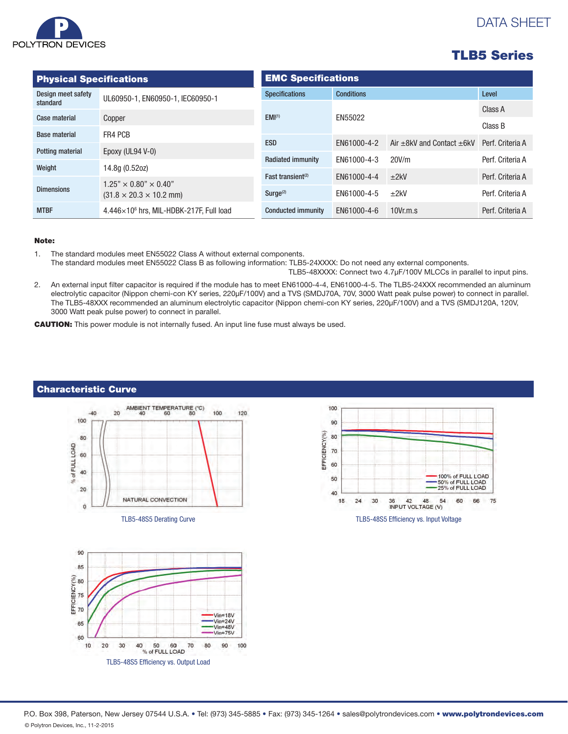

# DATA SHEET

| <b>Physical Specifications</b> |                                                 | <b>EMC Specifications</b> |                   |                                     |                  |  |
|--------------------------------|-------------------------------------------------|---------------------------|-------------------|-------------------------------------|------------------|--|
| Design meet safety             | UL60950-1, EN60950-1, IEC60950-1                | <b>Specifications</b>     | <b>Conditions</b> | Level                               |                  |  |
| standard                       |                                                 | EMI <sup>(1)</sup>        |                   |                                     | Class A          |  |
| Case material                  | Copper                                          |                           | EN55022           |                                     | Class B          |  |
| <b>Base material</b>           | FR4 PCB                                         | <b>ESD</b>                | EN61000-4-2       | Air $\pm$ 8kV and Contact $\pm$ 6kV | Perf. Criteria A |  |
| Potting material               | Epoxy (UL94 V-0)                                |                           |                   |                                     |                  |  |
| Weight                         | 14.8g (0.52oz)                                  | <b>Radiated immunity</b>  | EN61000-4-3       | 20V/m                               | Perf. Criteria A |  |
|                                | $1.25" \times 0.80" \times 0.40"$               |                           | EN61000-4-4       | ±2kV                                | Perf. Criteria A |  |
| <b>Dimensions</b>              | $(31.8 \times 20.3 \times 10.2 \text{ mm})$     | Surge <sup>(2)</sup>      | EN61000-4-5       | ±2kV                                | Perf. Criteria A |  |
| <b>MTBF</b>                    | $4.446\times10^6$ hrs. MIL-HDBK-217F. Full load | <b>Conducted immunity</b> | EN61000-4-6       | 10Vr.m.s                            | Perf. Criteria A |  |

#### Note:

1. The standard modules meet EN55022 Class A without external components. The standard modules meet EN55022 Class B as following information: TLB5-24XXXX: Do not need any external components. TLB5-48XXXX: Connect two 4.7μF/100V MLCCs in parallel to input pins.

2. An external input filter capacitor is required if the module has to meet EN61000-4-4, EN61000-4-5. The TLB5-24XXX recommended an aluminum electrolytic capacitor (Nippon chemi-con KY series, 220μF/100V) and a TVS (SMDJ70A, 70V, 3000 Watt peak pulse power) to connect in parallel. The TLB5-48XXX recommended an aluminum electrolytic capacitor (Nippon chemi-con KY series, 220μF/100V) and a TVS (SMDJ120A, 120V, 3000 Watt peak pulse power) to connect in parallel.

CAUTION: This power module is not internally fused. An input line fuse must always be used.



TLB5-48S5 Derating Curve TLB5-48S5 Efficiency vs. Input Voltage





P.O. Box 398, Paterson, New Jersey 07544 U.S.A. • Tel: (973) 345-5885 • Fax: (973) 345-1264 • sales@polytrondevices.com • www.polytrondevices.com © Polytron Devices, Inc., 11-2-2015

### Characteristic Curve